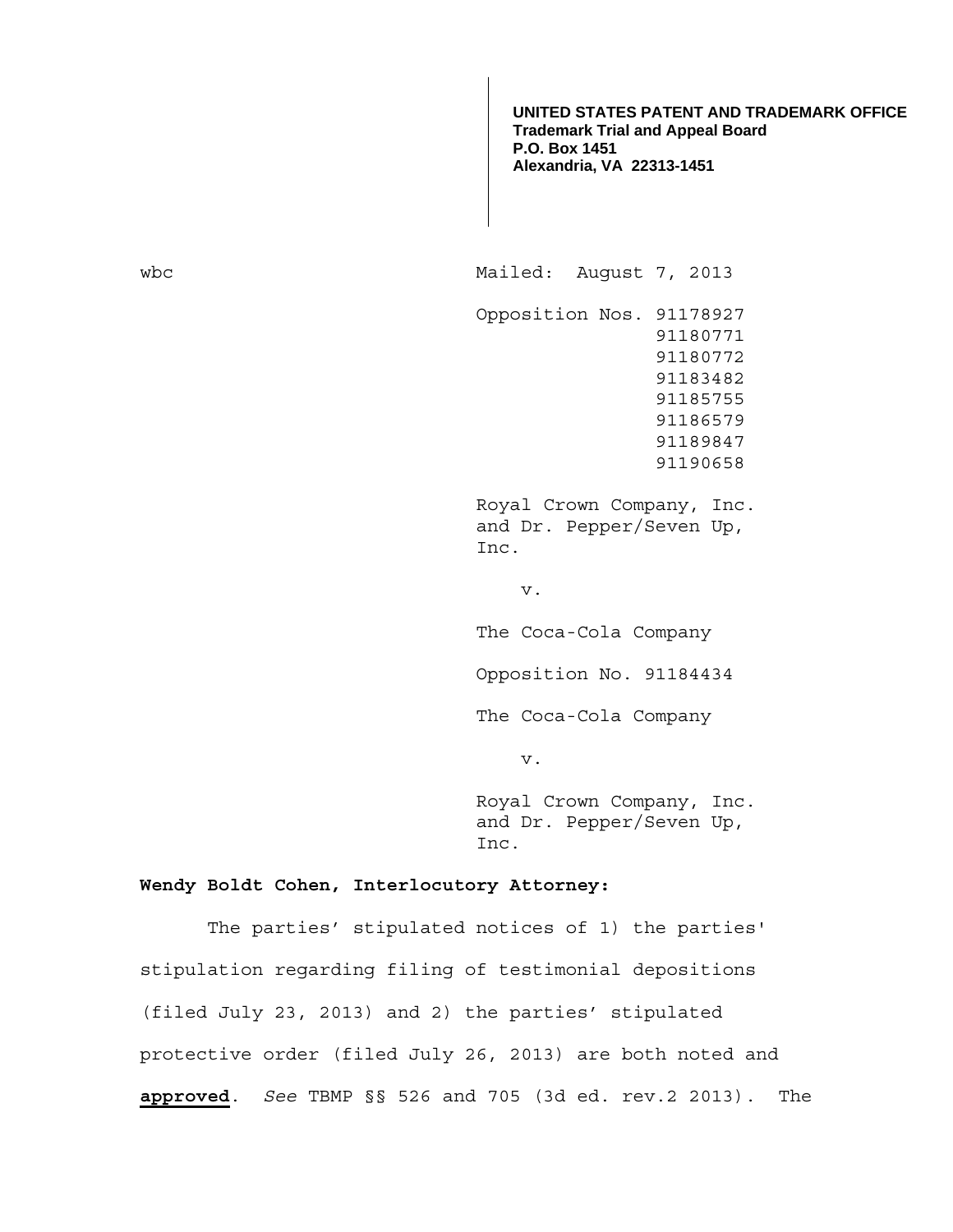**UNITED STATES PATENT AND TRADEMARK OFFICE Trademark Trial and Appeal Board P.O. Box 1451 Alexandria, VA 22313-1451**

wbc Mailed: August 7, 2013 Opposition Nos. 91178927 91180771 91180772 91183482 91185755 91186579 91189847 91190658 Royal Crown Company, Inc. and Dr. Pepper/Seven Up, Inc. v. The Coca-Cola Company Opposition No. 91184434 The Coca-Cola Company v.

 Royal Crown Company, Inc. and Dr. Pepper/Seven Up, Inc.

## **Wendy Boldt Cohen, Interlocutory Attorney:**

 The parties' stipulated notices of 1) the parties' stipulation regarding filing of testimonial depositions (filed July 23, 2013) and 2) the parties' stipulated protective order (filed July 26, 2013) are both noted and **approved**. *See* TBMP §§ 526 and 705 (3d ed. rev.2 2013). The